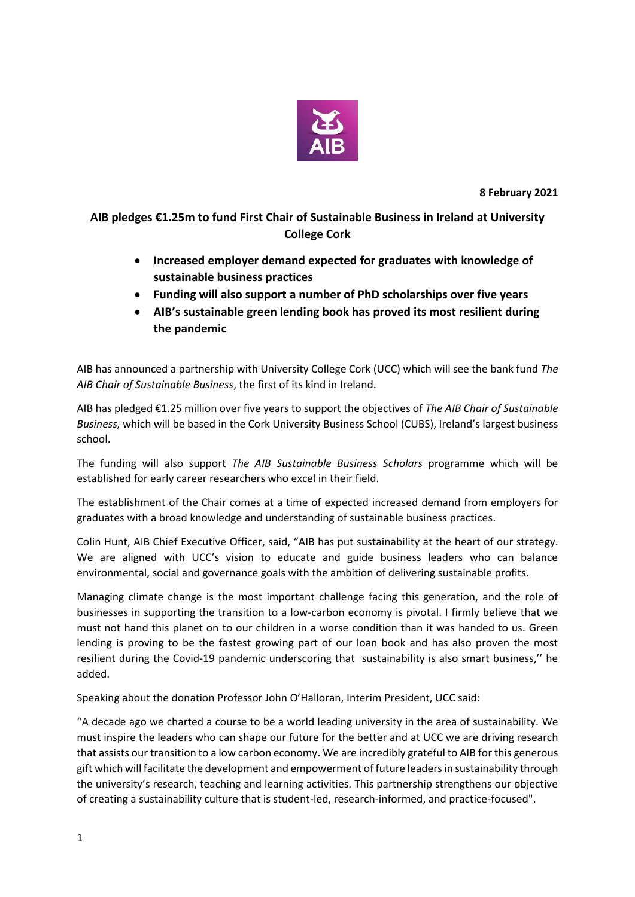

**8 February 2021**

**AIB pledges €1.25m to fund First Chair of Sustainable Business in Ireland at University College Cork**

- **Increased employer demand expected for graduates with knowledge of sustainable business practices**
- **Funding will also support a number of PhD scholarships over five years**
- **AIB's sustainable green lending book has proved its most resilient during the pandemic**

AIB has announced a partnership with University College Cork (UCC) which will see the bank fund *The AIB Chair of Sustainable Business*, the first of its kind in Ireland.

AIB has pledged €1.25 million over five years to support the objectives of *The AIB Chair of Sustainable Business,* which will be based in the Cork University Business School (CUBS), Ireland's largest business school.

The funding will also support *The AIB Sustainable Business Scholars* programme which will be established for early career researchers who excel in their field.

The establishment of the Chair comes at a time of expected increased demand from employers for graduates with a broad knowledge and understanding of sustainable business practices.

Colin Hunt, AIB Chief Executive Officer, said, "AIB has put sustainability at the heart of our strategy. We are aligned with UCC's vision to educate and guide business leaders who can balance environmental, social and governance goals with the ambition of delivering sustainable profits.

Managing climate change is the most important challenge facing this generation, and the role of businesses in supporting the transition to a low-carbon economy is pivotal. I firmly believe that we must not hand this planet on to our children in a worse condition than it was handed to us. Green lending is proving to be the fastest growing part of our loan book and has also proven the most resilient during the Covid-19 pandemic underscoring that sustainability is also smart business,'' he added.

Speaking about the donation Professor John O'Halloran, Interim President, UCC said:

"A decade ago we charted a course to be a world leading university in the area of sustainability. We must inspire the leaders who can shape our future for the better and at UCC we are driving research that assists our transition to a low carbon economy. We are incredibly grateful to AIB for this generous gift which will facilitate the development and empowerment of future leaders in sustainability through the university's research, teaching and learning activities. This partnership strengthens our objective of creating a sustainability culture that is student-led, research-informed, and practice-focused".